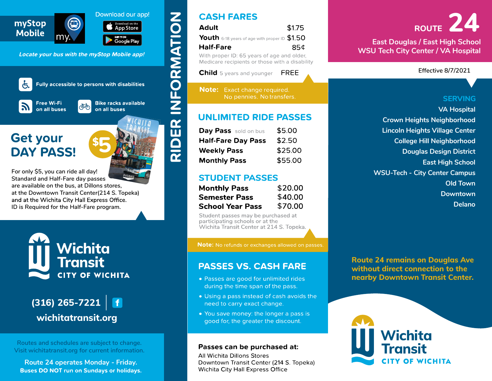









 $(316)$  265-7221  $\vert$  f<br>wichitatransit.org

Routes and schedules are subject to change.<br>Visit wichitatransit.org for current information.<br>Route 24 operates Monday - Friday.<br>Buses DO NOT run on Sundays or holidays.

| <b>Adult</b> | \$1.75                                       |
|--------------|----------------------------------------------|
|              | Youth 6-18 years of age with proper ID \$1.5 |
|              |                                              |

| <b>Day Pass</b> sold on bus | \$5.00  |
|-----------------------------|---------|
| <b>Half-Fare Day Pass</b>   | \$2.50  |
| <b>Weekly Pass</b>          | \$25.00 |
| <b>Monthly Pass</b>         | \$55.00 |

| <b>Monthly Pass</b>     | \$20.00 |  |  |  |  |
|-------------------------|---------|--|--|--|--|
| <b>Semester Pass</b>    | \$40.00 |  |  |  |  |
| <b>School Year Pass</b> | \$70.00 |  |  |  |  |

- 
- 
- 

Mobile my. The course and beat double and the state of the course of the course of the course of the course of the course of the course of the course of the course of the course of the course of the course of the course of